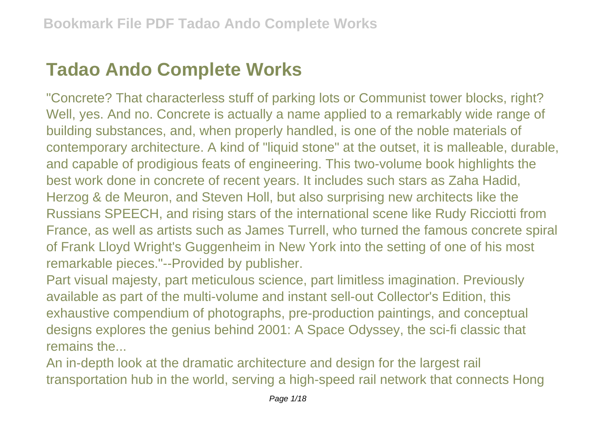## **Tadao Ando Complete Works**

"Concrete? That characterless stuff of parking lots or Communist tower blocks, right? Well, yes. And no. Concrete is actually a name applied to a remarkably wide range of building substances, and, when properly handled, is one of the noble materials of contemporary architecture. A kind of "liquid stone" at the outset, it is malleable, durable, and capable of prodigious feats of engineering. This two-volume book highlights the best work done in concrete of recent years. It includes such stars as Zaha Hadid, Herzog & de Meuron, and Steven Holl, but also surprising new architects like the Russians SPEECH, and rising stars of the international scene like Rudy Ricciotti from France, as well as artists such as James Turrell, who turned the famous concrete spiral of Frank Lloyd Wright's Guggenheim in New York into the setting of one of his most remarkable pieces."--Provided by publisher.

Part visual majesty, part meticulous science, part limitless imagination. Previously available as part of the multi-volume and instant sell-out Collector's Edition, this exhaustive compendium of photographs, pre-production paintings, and conceptual designs explores the genius behind 2001: A Space Odyssey, the sci-fi classic that remains the

An in-depth look at the dramatic architecture and design for the largest rail transportation hub in the world, serving a high-speed rail network that connects Hong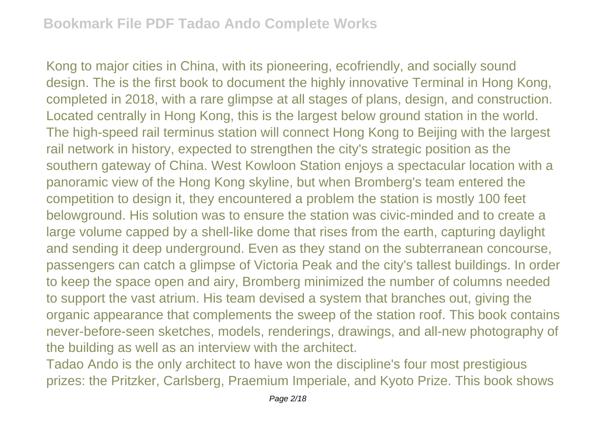Kong to major cities in China, with its pioneering, ecofriendly, and socially sound design. The is the first book to document the highly innovative Terminal in Hong Kong, completed in 2018, with a rare glimpse at all stages of plans, design, and construction. Located centrally in Hong Kong, this is the largest below ground station in the world. The high-speed rail terminus station will connect Hong Kong to Beijing with the largest rail network in history, expected to strengthen the city's strategic position as the southern gateway of China. West Kowloon Station enjoys a spectacular location with a panoramic view of the Hong Kong skyline, but when Bromberg's team entered the competition to design it, they encountered a problem the station is mostly 100 feet belowground. His solution was to ensure the station was civic-minded and to create a large volume capped by a shell-like dome that rises from the earth, capturing daylight and sending it deep underground. Even as they stand on the subterranean concourse, passengers can catch a glimpse of Victoria Peak and the city's tallest buildings. In order to keep the space open and airy, Bromberg minimized the number of columns needed to support the vast atrium. His team devised a system that branches out, giving the organic appearance that complements the sweep of the station roof. This book contains never-before-seen sketches, models, renderings, drawings, and all-new photography of the building as well as an interview with the architect.

Tadao Ando is the only architect to have won the discipline's four most prestigious prizes: the Pritzker, Carlsberg, Praemium Imperiale, and Kyoto Prize. This book shows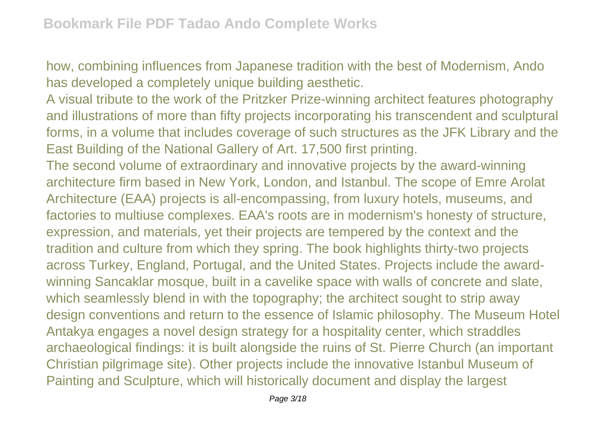how, combining influences from Japanese tradition with the best of Modernism, Ando has developed a completely unique building aesthetic.

A visual tribute to the work of the Pritzker Prize-winning architect features photography and illustrations of more than fifty projects incorporating his transcendent and sculptural forms, in a volume that includes coverage of such structures as the JFK Library and the East Building of the National Gallery of Art. 17,500 first printing.

The second volume of extraordinary and innovative projects by the award-winning architecture firm based in New York, London, and Istanbul. The scope of Emre Arolat Architecture (EAA) projects is all-encompassing, from luxury hotels, museums, and factories to multiuse complexes. EAA's roots are in modernism's honesty of structure, expression, and materials, yet their projects are tempered by the context and the tradition and culture from which they spring. The book highlights thirty-two projects across Turkey, England, Portugal, and the United States. Projects include the awardwinning Sancaklar mosque, built in a cavelike space with walls of concrete and slate, which seamlessly blend in with the topography; the architect sought to strip away design conventions and return to the essence of Islamic philosophy. The Museum Hotel Antakya engages a novel design strategy for a hospitality center, which straddles archaeological findings: it is built alongside the ruins of St. Pierre Church (an important Christian pilgrimage site). Other projects include the innovative Istanbul Museum of Painting and Sculpture, which will historically document and display the largest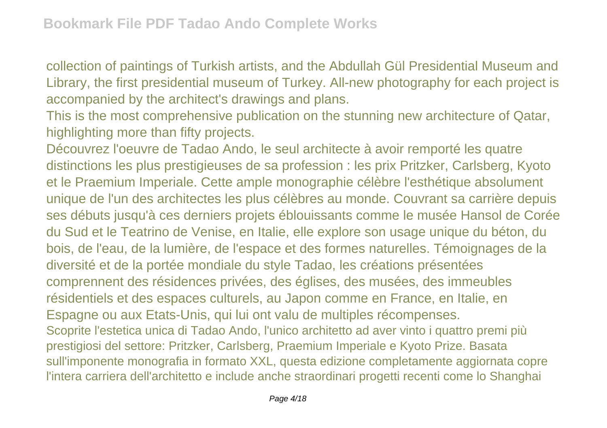collection of paintings of Turkish artists, and the Abdullah Gül Presidential Museum and Library, the first presidential museum of Turkey. All-new photography for each project is accompanied by the architect's drawings and plans.

This is the most comprehensive publication on the stunning new architecture of Qatar, highlighting more than fifty projects.

Découvrez l'oeuvre de Tadao Ando, le seul architecte à avoir remporté les quatre distinctions les plus prestigieuses de sa profession : les prix Pritzker, Carlsberg, Kyoto et le Praemium Imperiale. Cette ample monographie célèbre l'esthétique absolument unique de l'un des architectes les plus célèbres au monde. Couvrant sa carrière depuis ses débuts jusqu'à ces derniers projets éblouissants comme le musée Hansol de Corée du Sud et le Teatrino de Venise, en Italie, elle explore son usage unique du béton, du bois, de l'eau, de la lumière, de l'espace et des formes naturelles. Témoignages de la diversité et de la portée mondiale du style Tadao, les créations présentées comprennent des résidences privées, des églises, des musées, des immeubles résidentiels et des espaces culturels, au Japon comme en France, en Italie, en Espagne ou aux Etats-Unis, qui lui ont valu de multiples récompenses. Scoprite l'estetica unica di Tadao Ando, l'unico architetto ad aver vinto i quattro premi più prestigiosi del settore: Pritzker, Carlsberg, Praemium Imperiale e Kyoto Prize. Basata sull'imponente monografia in formato XXL, questa edizione completamente aggiornata copre l'intera carriera dell'architetto e include anche straordinari progetti recenti come lo Shanghai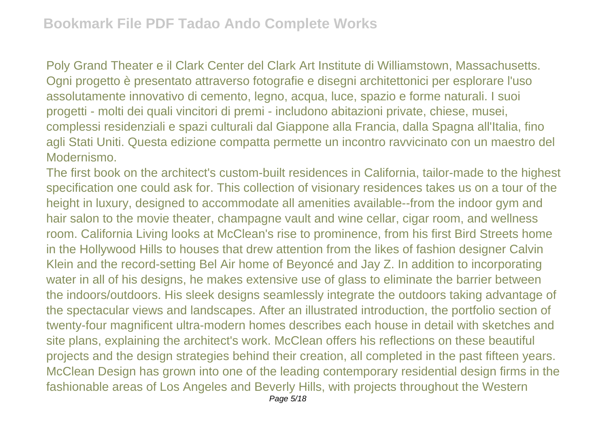Poly Grand Theater e il Clark Center del Clark Art Institute di Williamstown, Massachusetts. Ogni progetto è presentato attraverso fotografie e disegni architettonici per esplorare l'uso assolutamente innovativo di cemento, legno, acqua, luce, spazio e forme naturali. I suoi progetti - molti dei quali vincitori di premi - includono abitazioni private, chiese, musei, complessi residenziali e spazi culturali dal Giappone alla Francia, dalla Spagna all'Italia, fino agli Stati Uniti. Questa edizione compatta permette un incontro ravvicinato con un maestro del Modernismo.

The first book on the architect's custom-built residences in California, tailor-made to the highest specification one could ask for. This collection of visionary residences takes us on a tour of the height in luxury, designed to accommodate all amenities available--from the indoor gym and hair salon to the movie theater, champagne vault and wine cellar, cigar room, and wellness room. California Living looks at McClean's rise to prominence, from his first Bird Streets home in the Hollywood Hills to houses that drew attention from the likes of fashion designer Calvin Klein and the record-setting Bel Air home of Beyoncé and Jay Z. In addition to incorporating water in all of his designs, he makes extensive use of glass to eliminate the barrier between the indoors/outdoors. His sleek designs seamlessly integrate the outdoors taking advantage of the spectacular views and landscapes. After an illustrated introduction, the portfolio section of twenty-four magnificent ultra-modern homes describes each house in detail with sketches and site plans, explaining the architect's work. McClean offers his reflections on these beautiful projects and the design strategies behind their creation, all completed in the past fifteen years. McClean Design has grown into one of the leading contemporary residential design firms in the fashionable areas of Los Angeles and Beverly Hills, with projects throughout the Western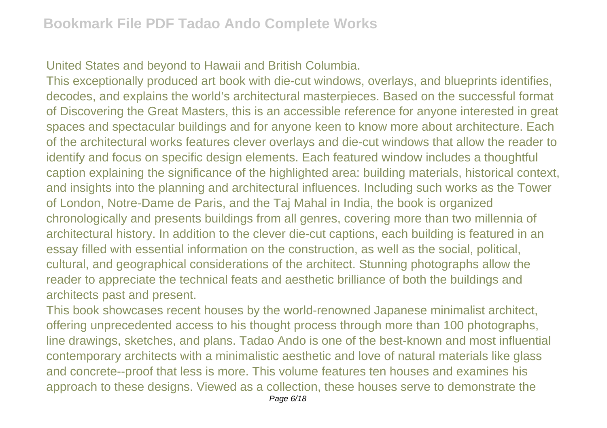United States and beyond to Hawaii and British Columbia.

This exceptionally produced art book with die-cut windows, overlays, and blueprints identifies, decodes, and explains the world's architectural masterpieces. Based on the successful format of Discovering the Great Masters, this is an accessible reference for anyone interested in great spaces and spectacular buildings and for anyone keen to know more about architecture. Each of the architectural works features clever overlays and die-cut windows that allow the reader to identify and focus on specific design elements. Each featured window includes a thoughtful caption explaining the significance of the highlighted area: building materials, historical context, and insights into the planning and architectural influences. Including such works as the Tower of London, Notre-Dame de Paris, and the Taj Mahal in India, the book is organized chronologically and presents buildings from all genres, covering more than two millennia of architectural history. In addition to the clever die-cut captions, each building is featured in an essay filled with essential information on the construction, as well as the social, political, cultural, and geographical considerations of the architect. Stunning photographs allow the reader to appreciate the technical feats and aesthetic brilliance of both the buildings and architects past and present.

This book showcases recent houses by the world-renowned Japanese minimalist architect, offering unprecedented access to his thought process through more than 100 photographs, line drawings, sketches, and plans. Tadao Ando is one of the best-known and most influential contemporary architects with a minimalistic aesthetic and love of natural materials like glass and concrete--proof that less is more. This volume features ten houses and examines his approach to these designs. Viewed as a collection, these houses serve to demonstrate the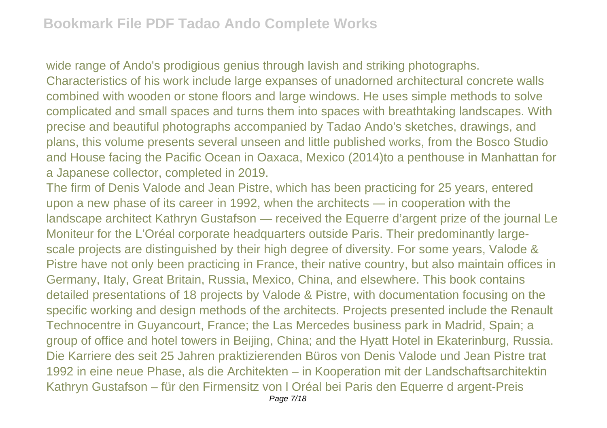wide range of Ando's prodigious genius through lavish and striking photographs. Characteristics of his work include large expanses of unadorned architectural concrete walls combined with wooden or stone floors and large windows. He uses simple methods to solve complicated and small spaces and turns them into spaces with breathtaking landscapes. With precise and beautiful photographs accompanied by Tadao Ando's sketches, drawings, and plans, this volume presents several unseen and little published works, from the Bosco Studio and House facing the Pacific Ocean in Oaxaca, Mexico (2014)to a penthouse in Manhattan for a Japanese collector, completed in 2019.

The firm of Denis Valode and Jean Pistre, which has been practicing for 25 years, entered upon a new phase of its career in 1992, when the architects — in cooperation with the landscape architect Kathryn Gustafson — received the Equerre d'argent prize of the journal Le Moniteur for the L'Oréal corporate headquarters outside Paris. Their predominantly largescale projects are distinguished by their high degree of diversity. For some years, Valode & Pistre have not only been practicing in France, their native country, but also maintain offices in Germany, Italy, Great Britain, Russia, Mexico, China, and elsewhere. This book contains detailed presentations of 18 projects by Valode & Pistre, with documentation focusing on the specific working and design methods of the architects. Projects presented include the Renault Technocentre in Guyancourt, France; the Las Mercedes business park in Madrid, Spain; a group of office and hotel towers in Beijing, China; and the Hyatt Hotel in Ekaterinburg, Russia. Die Karriere des seit 25 Jahren praktizierenden Büros von Denis Valode und Jean Pistre trat 1992 in eine neue Phase, als die Architekten – in Kooperation mit der Landschaftsarchitektin Kathryn Gustafson – für den Firmensitz von l Oréal bei Paris den Equerre d argent-Preis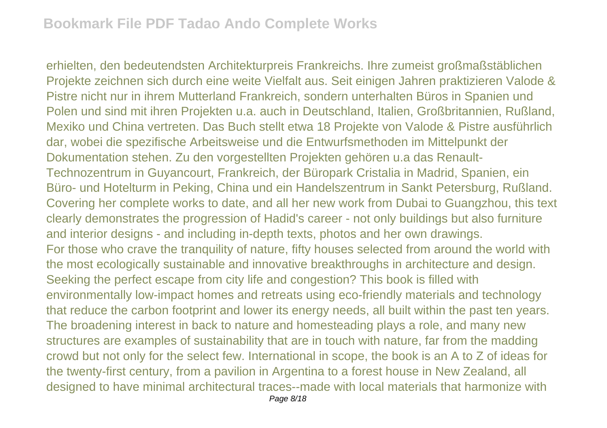erhielten, den bedeutendsten Architekturpreis Frankreichs. Ihre zumeist großmaßstäblichen Projekte zeichnen sich durch eine weite Vielfalt aus. Seit einigen Jahren praktizieren Valode & Pistre nicht nur in ihrem Mutterland Frankreich, sondern unterhalten Büros in Spanien und Polen und sind mit ihren Projekten u.a. auch in Deutschland, Italien, Großbritannien, Rußland, Mexiko und China vertreten. Das Buch stellt etwa 18 Projekte von Valode & Pistre ausführlich dar, wobei die spezifische Arbeitsweise und die Entwurfsmethoden im Mittelpunkt der Dokumentation stehen. Zu den vorgestellten Projekten gehören u.a das Renault-Technozentrum in Guyancourt, Frankreich, der Büropark Cristalia in Madrid, Spanien, ein Büro- und Hotelturm in Peking, China und ein Handelszentrum in Sankt Petersburg, Rußland. Covering her complete works to date, and all her new work from Dubai to Guangzhou, this text clearly demonstrates the progression of Hadid's career - not only buildings but also furniture and interior designs - and including in-depth texts, photos and her own drawings. For those who crave the tranquility of nature, fifty houses selected from around the world with the most ecologically sustainable and innovative breakthroughs in architecture and design. Seeking the perfect escape from city life and congestion? This book is filled with environmentally low-impact homes and retreats using eco-friendly materials and technology that reduce the carbon footprint and lower its energy needs, all built within the past ten years. The broadening interest in back to nature and homesteading plays a role, and many new structures are examples of sustainability that are in touch with nature, far from the madding crowd but not only for the select few. International in scope, the book is an A to Z of ideas for the twenty-first century, from a pavilion in Argentina to a forest house in New Zealand, all designed to have minimal architectural traces--made with local materials that harmonize with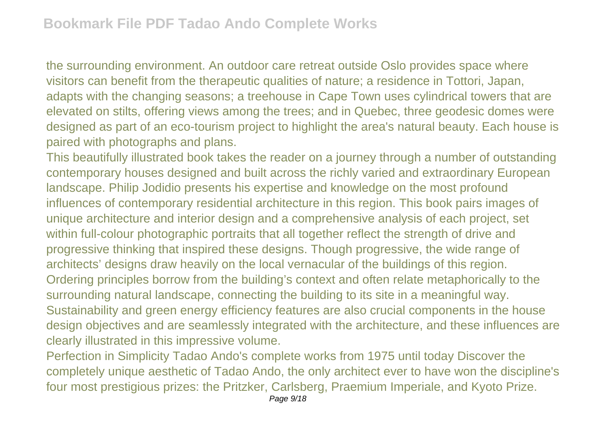the surrounding environment. An outdoor care retreat outside Oslo provides space where visitors can benefit from the therapeutic qualities of nature; a residence in Tottori, Japan, adapts with the changing seasons; a treehouse in Cape Town uses cylindrical towers that are elevated on stilts, offering views among the trees; and in Quebec, three geodesic domes were designed as part of an eco-tourism project to highlight the area's natural beauty. Each house is paired with photographs and plans.

This beautifully illustrated book takes the reader on a journey through a number of outstanding contemporary houses designed and built across the richly varied and extraordinary European landscape. Philip Jodidio presents his expertise and knowledge on the most profound influences of contemporary residential architecture in this region. This book pairs images of unique architecture and interior design and a comprehensive analysis of each project, set within full-colour photographic portraits that all together reflect the strength of drive and progressive thinking that inspired these designs. Though progressive, the wide range of architects' designs draw heavily on the local vernacular of the buildings of this region. Ordering principles borrow from the building's context and often relate metaphorically to the surrounding natural landscape, connecting the building to its site in a meaningful way. Sustainability and green energy efficiency features are also crucial components in the house design objectives and are seamlessly integrated with the architecture, and these influences are clearly illustrated in this impressive volume.

Perfection in Simplicity Tadao Ando's complete works from 1975 until today Discover the completely unique aesthetic of Tadao Ando, the only architect ever to have won the discipline's four most prestigious prizes: the Pritzker, Carlsberg, Praemium Imperiale, and Kyoto Prize.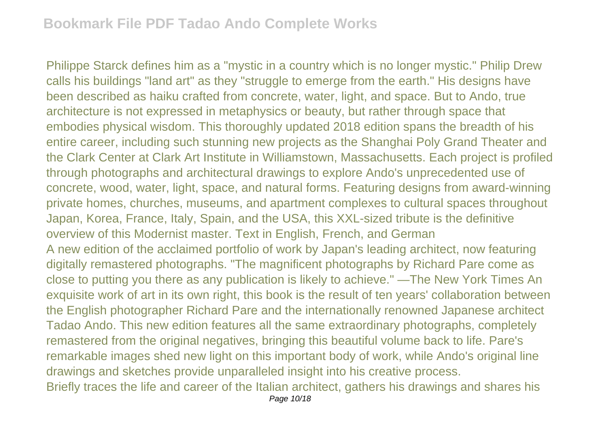Philippe Starck defines him as a "mystic in a country which is no longer mystic." Philip Drew calls his buildings "land art" as they "struggle to emerge from the earth." His designs have been described as haiku crafted from concrete, water, light, and space. But to Ando, true architecture is not expressed in metaphysics or beauty, but rather through space that embodies physical wisdom. This thoroughly updated 2018 edition spans the breadth of his entire career, including such stunning new projects as the Shanghai Poly Grand Theater and the Clark Center at Clark Art Institute in Williamstown, Massachusetts. Each project is profiled through photographs and architectural drawings to explore Ando's unprecedented use of concrete, wood, water, light, space, and natural forms. Featuring designs from award-winning private homes, churches, museums, and apartment complexes to cultural spaces throughout Japan, Korea, France, Italy, Spain, and the USA, this XXL-sized tribute is the definitive overview of this Modernist master. Text in English, French, and German A new edition of the acclaimed portfolio of work by Japan's leading architect, now featuring digitally remastered photographs. "The magnificent photographs by Richard Pare come as close to putting you there as any publication is likely to achieve." —The New York Times An exquisite work of art in its own right, this book is the result of ten years' collaboration between the English photographer Richard Pare and the internationally renowned Japanese architect Tadao Ando. This new edition features all the same extraordinary photographs, completely remastered from the original negatives, bringing this beautiful volume back to life. Pare's remarkable images shed new light on this important body of work, while Ando's original line drawings and sketches provide unparalleled insight into his creative process. Briefly traces the life and career of the Italian architect, gathers his drawings and shares his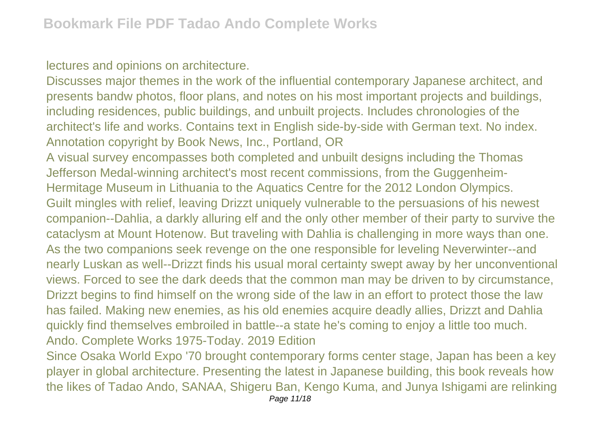lectures and opinions on architecture.

Discusses major themes in the work of the influential contemporary Japanese architect, and presents bandw photos, floor plans, and notes on his most important projects and buildings, including residences, public buildings, and unbuilt projects. Includes chronologies of the architect's life and works. Contains text in English side-by-side with German text. No index. Annotation copyright by Book News, Inc., Portland, OR

A visual survey encompasses both completed and unbuilt designs including the Thomas Jefferson Medal-winning architect's most recent commissions, from the Guggenheim-Hermitage Museum in Lithuania to the Aquatics Centre for the 2012 London Olympics. Guilt mingles with relief, leaving Drizzt uniquely vulnerable to the persuasions of his newest companion--Dahlia, a darkly alluring elf and the only other member of their party to survive the cataclysm at Mount Hotenow. But traveling with Dahlia is challenging in more ways than one. As the two companions seek revenge on the one responsible for leveling Neverwinter--and nearly Luskan as well--Drizzt finds his usual moral certainty swept away by her unconventional views. Forced to see the dark deeds that the common man may be driven to by circumstance, Drizzt begins to find himself on the wrong side of the law in an effort to protect those the law has failed. Making new enemies, as his old enemies acquire deadly allies, Drizzt and Dahlia quickly find themselves embroiled in battle--a state he's coming to enjoy a little too much. Ando. Complete Works 1975-Today. 2019 Edition

Since Osaka World Expo '70 brought contemporary forms center stage, Japan has been a key player in global architecture. Presenting the latest in Japanese building, this book reveals how the likes of Tadao Ando, SANAA, Shigeru Ban, Kengo Kuma, and Junya Ishigami are relinking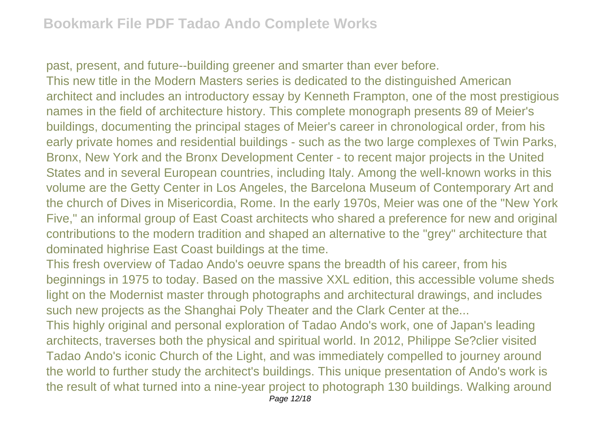past, present, and future--building greener and smarter than ever before. This new title in the Modern Masters series is dedicated to the distinguished American architect and includes an introductory essay by Kenneth Frampton, one of the most prestigious names in the field of architecture history. This complete monograph presents 89 of Meier's buildings, documenting the principal stages of Meier's career in chronological order, from his early private homes and residential buildings - such as the two large complexes of Twin Parks, Bronx, New York and the Bronx Development Center - to recent major projects in the United States and in several European countries, including Italy. Among the well-known works in this volume are the Getty Center in Los Angeles, the Barcelona Museum of Contemporary Art and the church of Dives in Misericordia, Rome. In the early 1970s, Meier was one of the "New York Five," an informal group of East Coast architects who shared a preference for new and original contributions to the modern tradition and shaped an alternative to the "grey" architecture that dominated highrise East Coast buildings at the time.

This fresh overview of Tadao Ando's oeuvre spans the breadth of his career, from his beginnings in 1975 to today. Based on the massive XXL edition, this accessible volume sheds light on the Modernist master through photographs and architectural drawings, and includes such new projects as the Shanghai Poly Theater and the Clark Center at the...

This highly original and personal exploration of Tadao Ando's work, one of Japan's leading architects, traverses both the physical and spiritual world. In 2012, Philippe Se?clier visited Tadao Ando's iconic Church of the Light, and was immediately compelled to journey around the world to further study the architect's buildings. This unique presentation of Ando's work is the result of what turned into a nine-year project to photograph 130 buildings. Walking around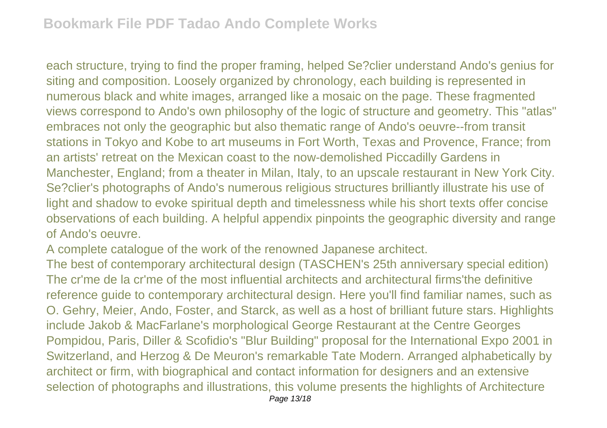each structure, trying to find the proper framing, helped Se?clier understand Ando's genius for siting and composition. Loosely organized by chronology, each building is represented in numerous black and white images, arranged like a mosaic on the page. These fragmented views correspond to Ando's own philosophy of the logic of structure and geometry. This "atlas" embraces not only the geographic but also thematic range of Ando's oeuvre--from transit stations in Tokyo and Kobe to art museums in Fort Worth, Texas and Provence, France; from an artists' retreat on the Mexican coast to the now-demolished Piccadilly Gardens in Manchester, England; from a theater in Milan, Italy, to an upscale restaurant in New York City. Se?clier's photographs of Ando's numerous religious structures brilliantly illustrate his use of light and shadow to evoke spiritual depth and timelessness while his short texts offer concise observations of each building. A helpful appendix pinpoints the geographic diversity and range of Ando's oeuvre.

A complete catalogue of the work of the renowned Japanese architect.

The best of contemporary architectural design (TASCHEN's 25th anniversary special edition) The cr'me de la cr'me of the most influential architects and architectural firms'the definitive reference guide to contemporary architectural design. Here you'll find familiar names, such as O. Gehry, Meier, Ando, Foster, and Starck, as well as a host of brilliant future stars. Highlights include Jakob & MacFarlane's morphological George Restaurant at the Centre Georges Pompidou, Paris, Diller & Scofidio's "Blur Building" proposal for the International Expo 2001 in Switzerland, and Herzog & De Meuron's remarkable Tate Modern. Arranged alphabetically by architect or firm, with biographical and contact information for designers and an extensive selection of photographs and illustrations, this volume presents the highlights of Architecture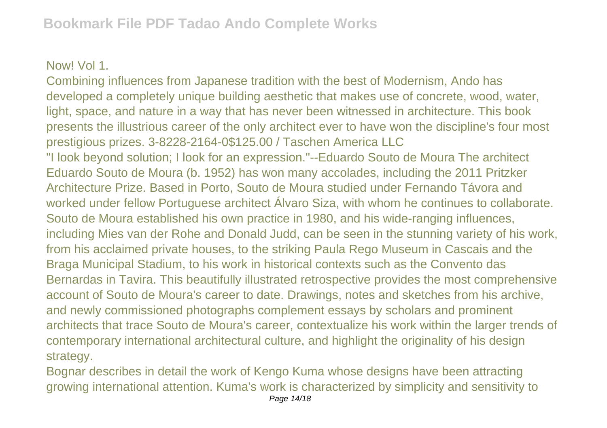## Now! Vol 1.

Combining influences from Japanese tradition with the best of Modernism, Ando has developed a completely unique building aesthetic that makes use of concrete, wood, water, light, space, and nature in a way that has never been witnessed in architecture. This book presents the illustrious career of the only architect ever to have won the discipline's four most prestigious prizes. 3-8228-2164-0\$125.00 / Taschen America LLC "I look beyond solution; I look for an expression."--Eduardo Souto de Moura The architect Eduardo Souto de Moura (b. 1952) has won many accolades, including the 2011 Pritzker Architecture Prize. Based in Porto, Souto de Moura studied under Fernando Távora and worked under fellow Portuguese architect Álvaro Siza, with whom he continues to collaborate. Souto de Moura established his own practice in 1980, and his wide-ranging influences, including Mies van der Rohe and Donald Judd, can be seen in the stunning variety of his work, from his acclaimed private houses, to the striking Paula Rego Museum in Cascais and the Braga Municipal Stadium, to his work in historical contexts such as the Convento das Bernardas in Tavira. This beautifully illustrated retrospective provides the most comprehensive account of Souto de Moura's career to date. Drawings, notes and sketches from his archive, and newly commissioned photographs complement essays by scholars and prominent architects that trace Souto de Moura's career, contextualize his work within the larger trends of contemporary international architectural culture, and highlight the originality of his design strategy.

Bognar describes in detail the work of Kengo Kuma whose designs have been attracting growing international attention. Kuma's work is characterized by simplicity and sensitivity to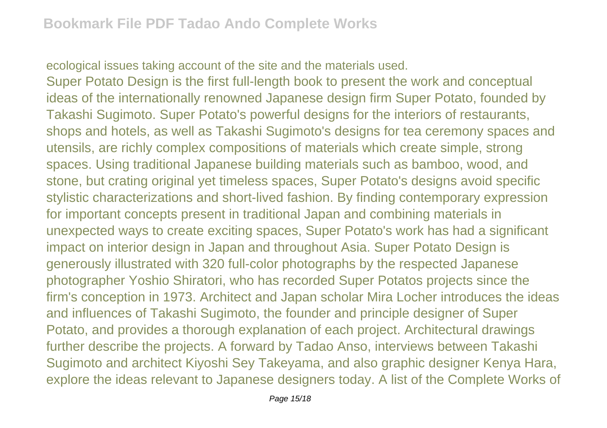ecological issues taking account of the site and the materials used.

Super Potato Design is the first full-length book to present the work and conceptual ideas of the internationally renowned Japanese design firm Super Potato, founded by Takashi Sugimoto. Super Potato's powerful designs for the interiors of restaurants, shops and hotels, as well as Takashi Sugimoto's designs for tea ceremony spaces and utensils, are richly complex compositions of materials which create simple, strong spaces. Using traditional Japanese building materials such as bamboo, wood, and stone, but crating original yet timeless spaces, Super Potato's designs avoid specific stylistic characterizations and short-lived fashion. By finding contemporary expression for important concepts present in traditional Japan and combining materials in unexpected ways to create exciting spaces, Super Potato's work has had a significant impact on interior design in Japan and throughout Asia. Super Potato Design is generously illustrated with 320 full-color photographs by the respected Japanese photographer Yoshio Shiratori, who has recorded Super Potatos projects since the firm's conception in 1973. Architect and Japan scholar Mira Locher introduces the ideas and influences of Takashi Sugimoto, the founder and principle designer of Super Potato, and provides a thorough explanation of each project. Architectural drawings further describe the projects. A forward by Tadao Anso, interviews between Takashi Sugimoto and architect Kiyoshi Sey Takeyama, and also graphic designer Kenya Hara, explore the ideas relevant to Japanese designers today. A list of the Complete Works of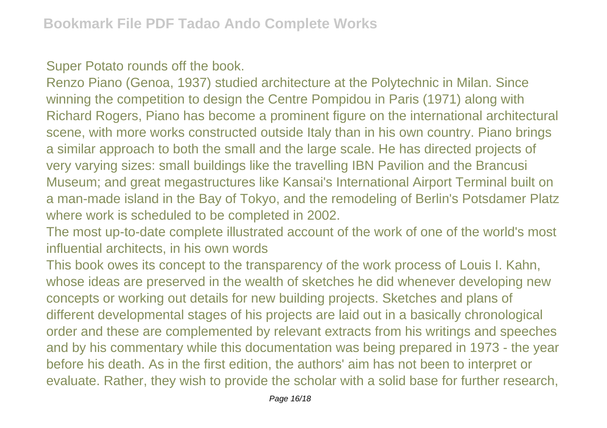Super Potato rounds off the book.

Renzo Piano (Genoa, 1937) studied architecture at the Polytechnic in Milan. Since winning the competition to design the Centre Pompidou in Paris (1971) along with Richard Rogers, Piano has become a prominent figure on the international architectural scene, with more works constructed outside Italy than in his own country. Piano brings a similar approach to both the small and the large scale. He has directed projects of very varying sizes: small buildings like the travelling IBN Pavilion and the Brancusi Museum; and great megastructures like Kansai's International Airport Terminal built on a man-made island in the Bay of Tokyo, and the remodeling of Berlin's Potsdamer Platz where work is scheduled to be completed in 2002.

The most up-to-date complete illustrated account of the work of one of the world's most influential architects, in his own words

This book owes its concept to the transparency of the work process of Louis I. Kahn, whose ideas are preserved in the wealth of sketches he did whenever developing new concepts or working out details for new building projects. Sketches and plans of different developmental stages of his projects are laid out in a basically chronological order and these are complemented by relevant extracts from his writings and speeches and by his commentary while this documentation was being prepared in 1973 - the year before his death. As in the first edition, the authors' aim has not been to interpret or evaluate. Rather, they wish to provide the scholar with a solid base for further research,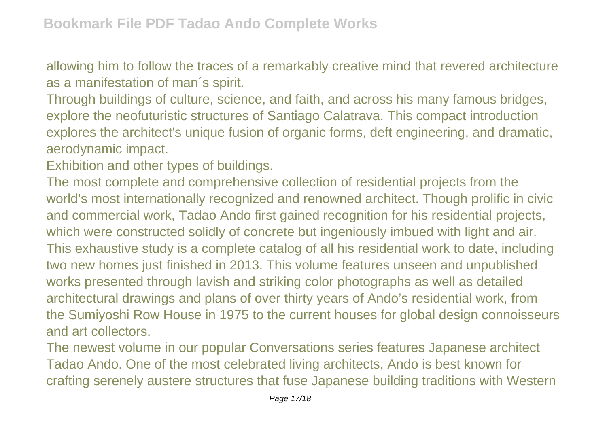allowing him to follow the traces of a remarkably creative mind that revered architecture as a manifestation of man´s spirit.

Through buildings of culture, science, and faith, and across his many famous bridges, explore the neofuturistic structures of Santiago Calatrava. This compact introduction explores the architect's unique fusion of organic forms, deft engineering, and dramatic, aerodynamic impact.

Exhibition and other types of buildings.

The most complete and comprehensive collection of residential projects from the world's most internationally recognized and renowned architect. Though prolific in civic and commercial work, Tadao Ando first gained recognition for his residential projects, which were constructed solidly of concrete but ingeniously imbued with light and air. This exhaustive study is a complete catalog of all his residential work to date, including two new homes just finished in 2013. This volume features unseen and unpublished works presented through lavish and striking color photographs as well as detailed architectural drawings and plans of over thirty years of Ando's residential work, from the Sumiyoshi Row House in 1975 to the current houses for global design connoisseurs and art collectors.

The newest volume in our popular Conversations series features Japanese architect Tadao Ando. One of the most celebrated living architects, Ando is best known for crafting serenely austere structures that fuse Japanese building traditions with Western